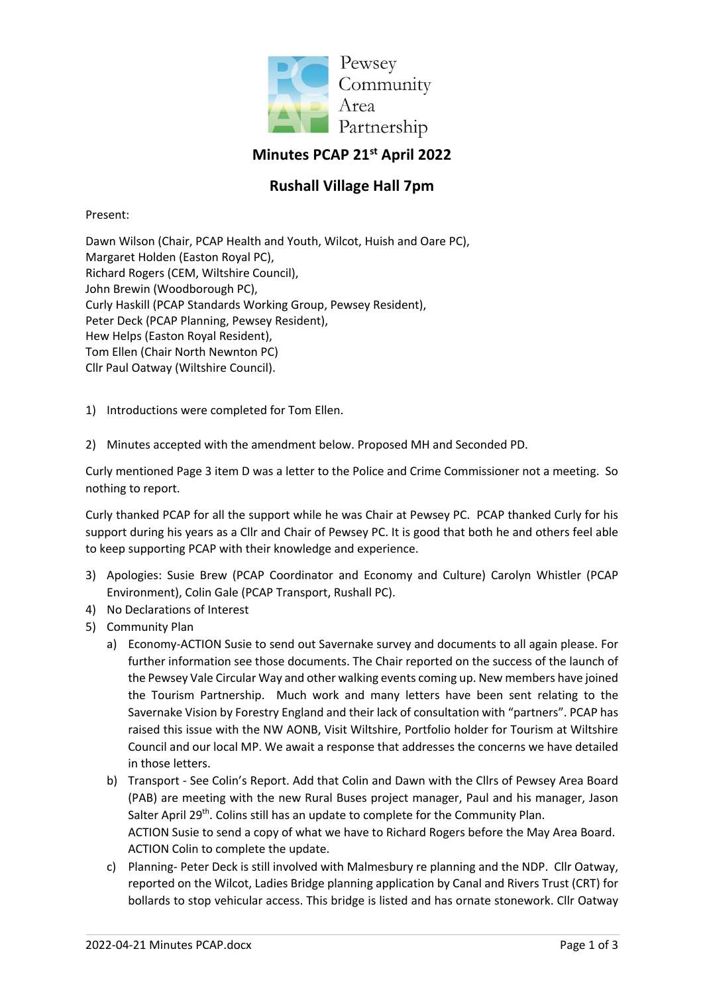

## **Minutes PCAP 21st April 2022**

## **Rushall Village Hall 7pm**

Present:

Dawn Wilson (Chair, PCAP Health and Youth, Wilcot, Huish and Oare PC), Margaret Holden (Easton Royal PC), Richard Rogers (CEM, Wiltshire Council), John Brewin (Woodborough PC), Curly Haskill (PCAP Standards Working Group, Pewsey Resident), Peter Deck (PCAP Planning, Pewsey Resident), Hew Helps (Easton Royal Resident), Tom Ellen (Chair North Newnton PC) Cllr Paul Oatway (Wiltshire Council).

1) Introductions were completed for Tom Ellen.

2) Minutes accepted with the amendment below. Proposed MH and Seconded PD.

Curly mentioned Page 3 item D was a letter to the Police and Crime Commissioner not a meeting. So nothing to report.

Curly thanked PCAP for all the support while he was Chair at Pewsey PC. PCAP thanked Curly for his support during his years as a Cllr and Chair of Pewsey PC. It is good that both he and others feel able to keep supporting PCAP with their knowledge and experience.

- 3) Apologies: Susie Brew (PCAP Coordinator and Economy and Culture) Carolyn Whistler (PCAP Environment), Colin Gale (PCAP Transport, Rushall PC).
- 4) No Declarations of Interest
- 5) Community Plan
	- a) Economy-ACTION Susie to send out Savernake survey and documents to all again please. For further information see those documents. The Chair reported on the success of the launch of the Pewsey Vale Circular Way and other walking events coming up. New members have joined the Tourism Partnership. Much work and many letters have been sent relating to the Savernake Vision by Forestry England and their lack of consultation with "partners". PCAP has raised this issue with the NW AONB, Visit Wiltshire, Portfolio holder for Tourism at Wiltshire Council and our local MP. We await a response that addresses the concerns we have detailed in those letters.
	- b) Transport See Colin's Report. Add that Colin and Dawn with the Cllrs of Pewsey Area Board (PAB) are meeting with the new Rural Buses project manager, Paul and his manager, Jason Salter April 29<sup>th</sup>. Colins still has an update to complete for the Community Plan. ACTION Susie to send a copy of what we have to Richard Rogers before the May Area Board. ACTION Colin to complete the update.
	- c) Planning- Peter Deck is still involved with Malmesbury re planning and the NDP. Cllr Oatway, reported on the Wilcot, Ladies Bridge planning application by Canal and Rivers Trust (CRT) for bollards to stop vehicular access. This bridge is listed and has ornate stonework. Cllr Oatway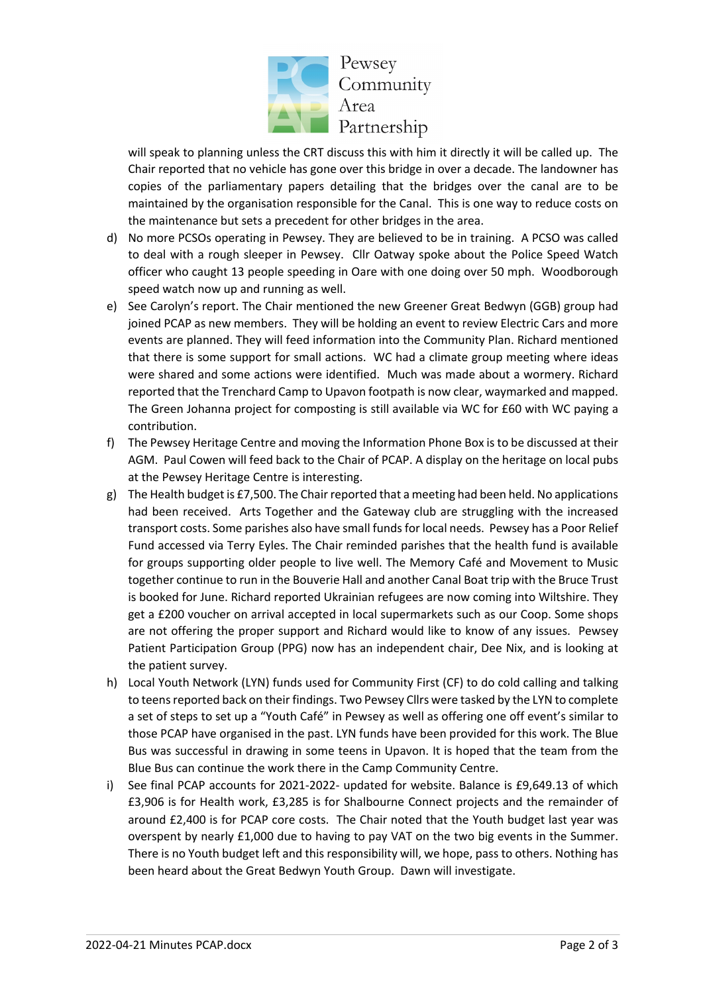

will speak to planning unless the CRT discuss this with him it directly it will be called up. The Chair reported that no vehicle has gone over this bridge in over a decade. The landowner has copies of the parliamentary papers detailing that the bridges over the canal are to be maintained by the organisation responsible for the Canal. This is one way to reduce costs on the maintenance but sets a precedent for other bridges in the area.

- d) No more PCSOs operating in Pewsey. They are believed to be in training. A PCSO was called to deal with a rough sleeper in Pewsey. Cllr Oatway spoke about the Police Speed Watch officer who caught 13 people speeding in Oare with one doing over 50 mph. Woodborough speed watch now up and running as well.
- e) See Carolyn's report. The Chair mentioned the new Greener Great Bedwyn (GGB) group had joined PCAP as new members. They will be holding an event to review Electric Cars and more events are planned. They will feed information into the Community Plan. Richard mentioned that there is some support for small actions. WC had a climate group meeting where ideas were shared and some actions were identified. Much was made about a wormery. Richard reported that the Trenchard Camp to Upavon footpath is now clear, waymarked and mapped. The Green Johanna project for composting is still available via WC for £60 with WC paying a contribution.
- f) The Pewsey Heritage Centre and moving the Information Phone Box is to be discussed at their AGM. Paul Cowen will feed back to the Chair of PCAP. A display on the heritage on local pubs at the Pewsey Heritage Centre is interesting.
- g) The Health budget is £7,500. The Chair reported that a meeting had been held. No applications had been received. Arts Together and the Gateway club are struggling with the increased transport costs. Some parishes also have small funds for local needs. Pewsey has a Poor Relief Fund accessed via Terry Eyles. The Chair reminded parishes that the health fund is available for groups supporting older people to live well. The Memory Café and Movement to Music together continue to run in the Bouverie Hall and another Canal Boat trip with the Bruce Trust is booked for June. Richard reported Ukrainian refugees are now coming into Wiltshire. They get a £200 voucher on arrival accepted in local supermarkets such as our Coop. Some shops are not offering the proper support and Richard would like to know of any issues. Pewsey Patient Participation Group (PPG) now has an independent chair, Dee Nix, and is looking at the patient survey.
- h) Local Youth Network (LYN) funds used for Community First (CF) to do cold calling and talking to teens reported back on their findings. Two Pewsey Cllrs were tasked by the LYN to complete a set of steps to set up a "Youth Café" in Pewsey as well as offering one off event's similar to those PCAP have organised in the past. LYN funds have been provided for this work. The Blue Bus was successful in drawing in some teens in Upavon. It is hoped that the team from the Blue Bus can continue the work there in the Camp Community Centre.
- i) See final PCAP accounts for 2021-2022- updated for website. Balance is £9,649.13 of which £3,906 is for Health work, £3,285 is for Shalbourne Connect projects and the remainder of around £2,400 is for PCAP core costs. The Chair noted that the Youth budget last year was overspent by nearly £1,000 due to having to pay VAT on the two big events in the Summer. There is no Youth budget left and this responsibility will, we hope, pass to others. Nothing has been heard about the Great Bedwyn Youth Group. Dawn will investigate.